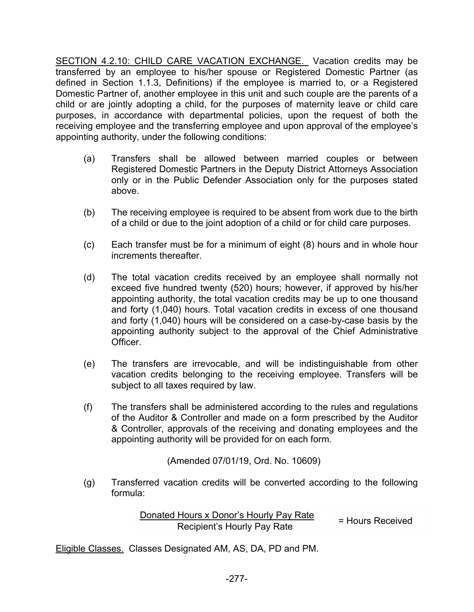SECTION 4.2.10: CHILD CARE VACATION EXCHANGE. Vacation credits may be transferred by an employee to his/her spouse or Registered Domestic Partner (as defined in Section 1.1.3, Definitions) if the employee is married to, or a Registered Domestic Partner of, another employee in this unit and such couple are the parents of a child or are jointly adopting a child, for the purposes of maternity leave or child care purposes, in accordance with departmental policies, upon the request of both the receiving employee and the transferring employee and upon approval of the employee's appointing authority, under the following conditions:

- (a) Transfers shall be allowed between married couples or between Registered Domestic Partners in the Deputy District Attorneys Association only or in the Public Defender Association only for the purposes stated above.
- (b) The receiving employee is required to be absent from work due to the birth of a child or due to the joint adoption of a child or for child care purposes.
- (c) Each transfer must be for a minimum of eight (8) hours and in whole hour increments thereafter.
- (d) The total vacation credits received by an employee shall normally not exceed five hundred twenty (520) hours; however, if approved by his/her appointing authority, the total vacation credits may be up to one thousand and forty (1,040) hours. Total vacation credits in excess of one thousand and forty (1,040) hours will be considered on a case-by-case basis by the appointing authority subject to the approval of the Chief Administrative Officer.
- (e) The transfers are irrevocable, and will be indistinguishable from other vacation credits belonging to the receiving employee. Transfers will be subject to all taxes required by law.
- (f) The transfers shall be administered according to the rules and regulations of the Auditor & Controller and made on a form prescribed by the Auditor & Controller, approvals of the receiving and donating employees and the appointing authority will be provided for on each form.

(Amended 07/01/19, Ord. No. 10609)

(g) Transferred vacation credits will be converted according to the following formula:

| Donated Hours x Donor's Hourly Pay Rate |                  |
|-----------------------------------------|------------------|
| Recipient's Hourly Pay Rate             | = Hours Received |

Eligible Classes. Classes Designated AM, AS, DA, PD and PM.